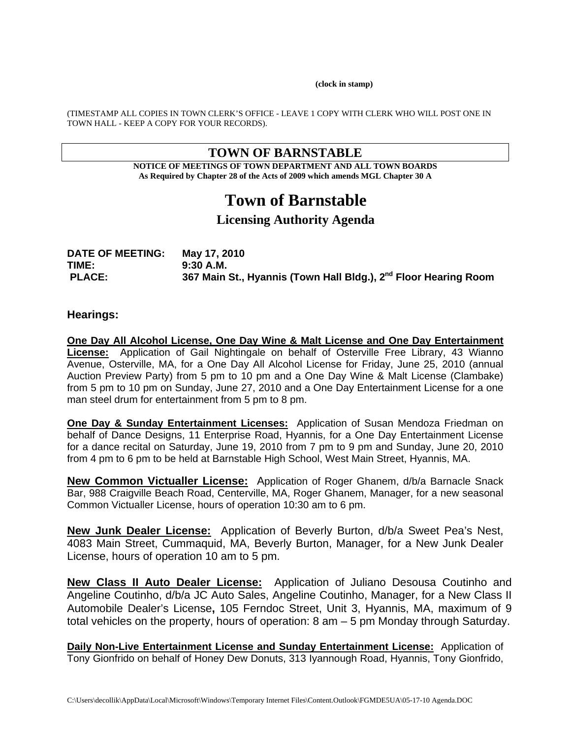**(clock in stamp)** 

(TIMESTAMP ALL COPIES IN TOWN CLERK'S OFFICE - LEAVE 1 COPY WITH CLERK WHO WILL POST ONE IN TOWN HALL - KEEP A COPY FOR YOUR RECORDS).

## **TOWN OF BARNSTABLE**

**NOTICE OF MEETINGS OF TOWN DEPARTMENT AND ALL TOWN BOARDS As Required by Chapter 28 of the Acts of 2009 which amends MGL Chapter 30 A** 

# **Town of Barnstable**

# **Licensing Authority Agenda**

| <b>DATE OF MEETING:</b> | May 17, 2010                                                                |
|-------------------------|-----------------------------------------------------------------------------|
| TIME:                   | 9:30 A.M.                                                                   |
| <b>PLACE:</b>           | 367 Main St., Hyannis (Town Hall Bldg.), 2 <sup>nd</sup> Floor Hearing Room |

#### **Hearings:**

**One Day All Alcohol License, One Day Wine & Malt License and One Day Entertainment License:** Application of Gail Nightingale on behalf of Osterville Free Library, 43 Wianno Avenue, Osterville, MA, for a One Day All Alcohol License for Friday, June 25, 2010 (annual Auction Preview Party) from 5 pm to 10 pm and a One Day Wine & Malt License (Clambake) from 5 pm to 10 pm on Sunday, June 27, 2010 and a One Day Entertainment License for a one man steel drum for entertainment from 5 pm to 8 pm.

**One Day & Sunday Entertainment Licenses:** Application of Susan Mendoza Friedman on behalf of Dance Designs, 11 Enterprise Road, Hyannis, for a One Day Entertainment License for a dance recital on Saturday, June 19, 2010 from 7 pm to 9 pm and Sunday, June 20, 2010 from 4 pm to 6 pm to be held at Barnstable High School, West Main Street, Hyannis, MA.

**New Common Victualler License:** Application of Roger Ghanem, d/b/a Barnacle Snack Bar, 988 Craigville Beach Road, Centerville, MA, Roger Ghanem, Manager, for a new seasonal Common Victualler License, hours of operation 10:30 am to 6 pm.

**New Junk Dealer License:** Application of Beverly Burton, d/b/a Sweet Pea's Nest, 4083 Main Street, Cummaquid, MA, Beverly Burton, Manager, for a New Junk Dealer License, hours of operation 10 am to 5 pm.

**New Class II Auto Dealer License:** Application of Juliano Desousa Coutinho and Angeline Coutinho, d/b/a JC Auto Sales, Angeline Coutinho, Manager, for a New Class II Automobile Dealer's License**,** 105 Ferndoc Street, Unit 3, Hyannis, MA, maximum of 9 total vehicles on the property, hours of operation: 8 am – 5 pm Monday through Saturday.

**Daily Non-Live Entertainment License and Sunday Entertainment License:** Application of Tony Gionfrido on behalf of Honey Dew Donuts, 313 Iyannough Road, Hyannis, Tony Gionfrido,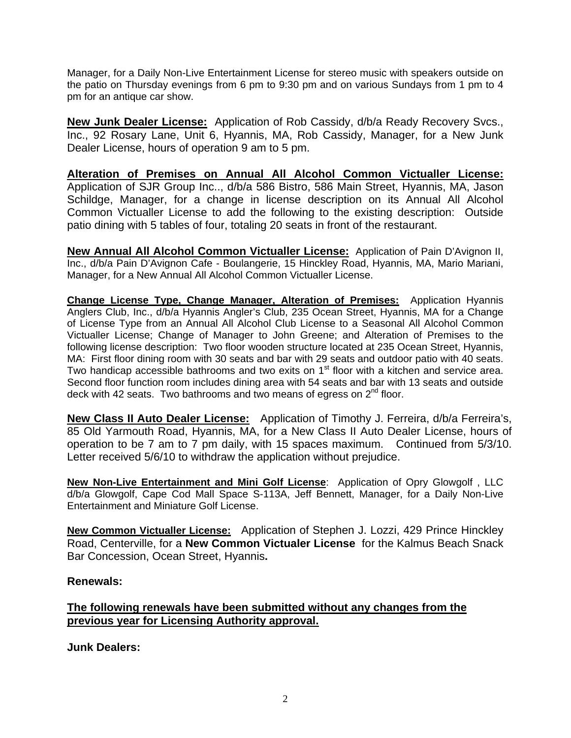Manager, for a Daily Non-Live Entertainment License for stereo music with speakers outside on the patio on Thursday evenings from 6 pm to 9:30 pm and on various Sundays from 1 pm to 4 pm for an antique car show.

**New Junk Dealer License:** Application of Rob Cassidy, d/b/a Ready Recovery Svcs., Inc., 92 Rosary Lane, Unit 6, Hyannis, MA, Rob Cassidy, Manager, for a New Junk Dealer License, hours of operation 9 am to 5 pm.

**Alteration of Premises on Annual All Alcohol Common Victualler License:**  Application of SJR Group Inc.., d/b/a 586 Bistro, 586 Main Street, Hyannis, MA, Jason Schildge, Manager, for a change in license description on its Annual All Alcohol Common Victualler License to add the following to the existing description: Outside patio dining with 5 tables of four, totaling 20 seats in front of the restaurant.

**New Annual All Alcohol Common Victualler License:** Application of Pain D'Avignon II, Inc., d/b/a Pain D'Avignon Cafe - Boulangerie, 15 Hinckley Road, Hyannis, MA, Mario Mariani, Manager, for a New Annual All Alcohol Common Victualler License.

**Change License Type, Change Manager, Alteration of Premises:** Application Hyannis Anglers Club, Inc., d/b/a Hyannis Angler's Club, 235 Ocean Street, Hyannis, MA for a Change of License Type from an Annual All Alcohol Club License to a Seasonal All Alcohol Common Victualler License; Change of Manager to John Greene; and Alteration of Premises to the following license description: Two floor wooden structure located at 235 Ocean Street, Hyannis, MA: First floor dining room with 30 seats and bar with 29 seats and outdoor patio with 40 seats. Two handicap accessible bathrooms and two exits on  $1<sup>st</sup>$  floor with a kitchen and service area. Second floor function room includes dining area with 54 seats and bar with 13 seats and outside deck with 42 seats. Two bathrooms and two means of egress on  $2^{nd}$  floor.

**New Class II Auto Dealer License:** Application of Timothy J. Ferreira, d/b/a Ferreira's, 85 Old Yarmouth Road, Hyannis, MA, for a New Class II Auto Dealer License, hours of operation to be 7 am to 7 pm daily, with 15 spaces maximum. Continued from 5/3/10. Letter received 5/6/10 to withdraw the application without prejudice.

**New Non-Live Entertainment and Mini Golf License**: Application of Opry Glowgolf , LLC d/b/a Glowgolf, Cape Cod Mall Space S-113A, Jeff Bennett, Manager, for a Daily Non-Live Entertainment and Miniature Golf License.

**New Common Victualler License:** Application of Stephen J. Lozzi, 429 Prince Hinckley Road, Centerville, for a **New Common Victualer License** for the Kalmus Beach Snack Bar Concession, Ocean Street, Hyannis**.**

## **Renewals:**

## **The following renewals have been submitted without any changes from the previous year for Licensing Authority approval.**

**Junk Dealers:**